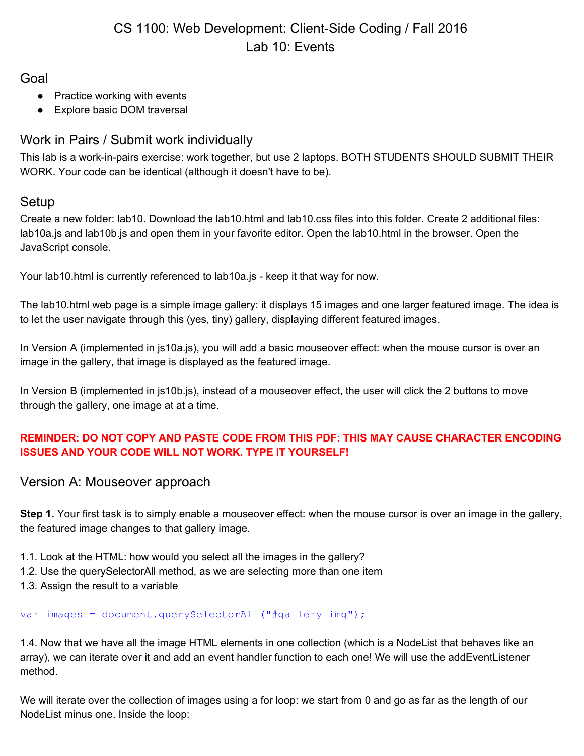# CS 1100: Web Development: Client-Side Coding / Fall 2016 Lab 10: Events

Goal

- Practice working with events
- Explore basic DOM traversal

## Work in Pairs / Submit work individually

This lab is a work-in-pairs exercise: work together, but use 2 laptops. BOTH STUDENTS SHOULD SUBMIT THEIR WORK. Your code can be identical (although it doesn't have to be).

### Setup

Create a new folder: lab10. Download the lab10.html and lab10.css files into this folder. Create 2 additional files: lab10a.js and lab10b.js and open them in your favorite editor. Open the lab10.html in the browser. Open the JavaScript console.

Your lab10.html is currently referenced to lab10a.js - keep it that way for now.

The lab10.html web page is a simple image gallery: it displays 15 images and one larger featured image. The idea is to let the user navigate through this (yes, tiny) gallery, displaying different featured images.

In Version A (implemented in js10a.js), you will add a basic mouseover effect: when the mouse cursor is over an image in the gallery, that image is displayed as the featured image.

In Version B (implemented in js10b.js), instead of a mouseover effect, the user will click the 2 buttons to move through the gallery, one image at at a time.

#### **REMINDER: DO NOT COPY AND PASTE CODE FROM THIS PDF: THIS MAY CAUSE CHARACTER ENCODING ISSUES AND YOUR CODE WILL NOT WORK. TYPE IT YOURSELF!**

### Version A: Mouseover approach

**Step 1.** Your first task is to simply enable a mouseover effect: when the mouse cursor is over an image in the gallery, the featured image changes to that gallery image.

- 1.1. Look at the HTML: how would you select all the images in the gallery?
- 1.2. Use the querySelectorAll method, as we are selecting more than one item
- 1.3. Assign the result to a variable

#### var images = document.querySelectorAll("#gallery img");

1.4. Now that we have all the image HTML elements in one collection (which is a NodeList that behaves like an array), we can iterate over it and add an event handler function to each one! We will use the addEventListener method.

We will iterate over the collection of images using a for loop: we start from 0 and go as far as the length of our NodeList minus one. Inside the loop: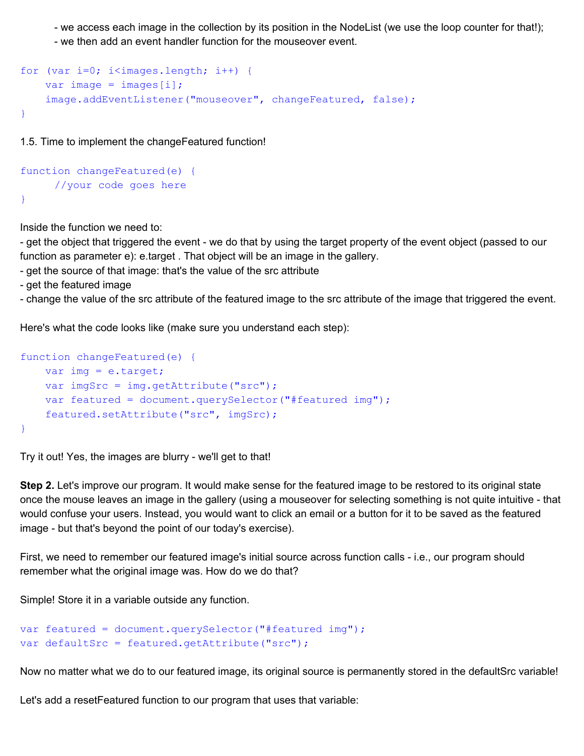- we access each image in the collection by its position in the NodeList (we use the loop counter for that!);

- we then add an event handler function for the mouseover event.

```
for (var i=0; i<images.length; i++) {
    var image = images[i];
     image.addEventListener("mouseover", changeFeatured, false);
}
```
1.5. Time to implement the changeFeatured function!

```
function changeFeatured(e) {
     //your code goes here
}
```
Inside the function we need to:

- get the object that triggered the event - we do that by using the target property of the event object (passed to our function as parameter e): e.target . That object will be an image in the gallery.

- get the source of that image: that's the value of the src attribute
- get the featured image

- change the value of the src attribute of the featured image to the src attribute of the image that triggered the event.

Here's what the code looks like (make sure you understand each step):

```
function changeFeatured(e) {
     var img = e.target;
    var imgSrc = img.getAttribute("src");
     var featured = document.querySelector("#featured img");
     featured.setAttribute("src", imgSrc);
}
```
Try it out! Yes, the images are blurry - we'll get to that!

**Step 2.** Let's improve our program. It would make sense for the featured image to be restored to its original state once the mouse leaves an image in the gallery (using a mouseover for selecting something is not quite intuitive - that would confuse your users. Instead, you would want to click an email or a button for it to be saved as the featured image - but that's beyond the point of our today's exercise).

First, we need to remember our featured image's initial source across function calls - i.e., our program should remember what the original image was. How do we do that?

Simple! Store it in a variable outside any function.

```
var featured = document.querySelector("#featured img");
var defaultSrc = featured.getAttribute("src");
```
Now no matter what we do to our featured image, its original source is permanently stored in the defaultSrc variable!

Let's add a resetFeatured function to our program that uses that variable: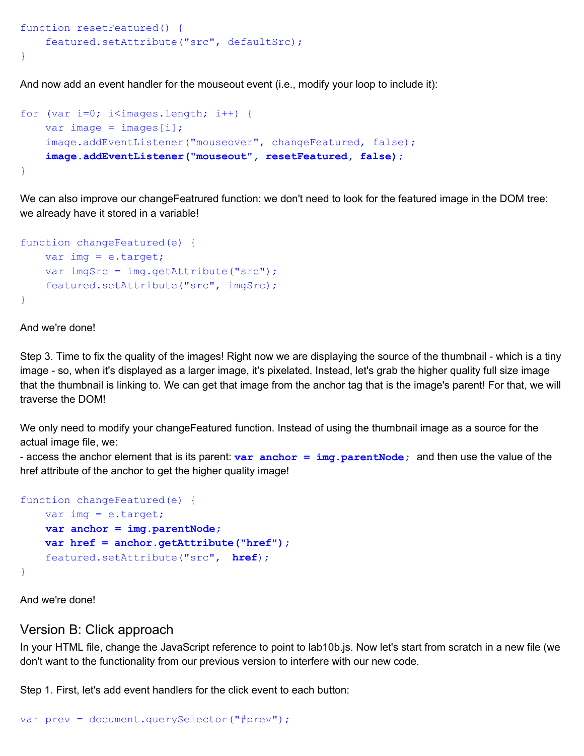```
function resetFeatured() {
     featured.setAttribute("src", defaultSrc);
}
```
And now add an event handler for the mouseout event (i.e., modify your loop to include it):

```
for (var i=0; i<images.length; i++) {
    var image = images[i];
     image.addEventListener("mouseover", changeFeatured, false);
     image.addEventListener("mouseout", resetFeatured, false);
}
```
We can also improve our changeFeatrured function: we don't need to look for the featured image in the DOM tree: we already have it stored in a variable!

```
function changeFeatured(e) {
     var img = e.target;
   var imgSrc = img.getAttribute("src");
     featured.setAttribute("src", imgSrc);
}
```
And we're done!

Step 3. Time to fix the quality of the images! Right now we are displaying the source of the thumbnail - which is a tiny image - so, when it's displayed as a larger image, it's pixelated. Instead, let's grab the higher quality full size image that the thumbnail is linking to. We can get that image from the anchor tag that is the image's parent! For that, we will traverse the DOM!

We only need to modify your changeFeatured function. Instead of using the thumbnail image as a source for the actual image file, we:

- access the anchor element that is its parent: **var anchor = img.parentNode;** and then use the value of the href attribute of the anchor to get the higher quality image!

```
function changeFeatured(e) {
    var img = e.target;
     var anchor = img.parentNode;
     var href = anchor.getAttribute("href");
     featured.setAttribute("src", href);
}
```
And we're done!

#### Version B: Click approach

In your HTML file, change the JavaScript reference to point to lab10b.js. Now let's start from scratch in a new file (we don't want to the functionality from our previous version to interfere with our new code.

Step 1. First, let's add event handlers for the click event to each button: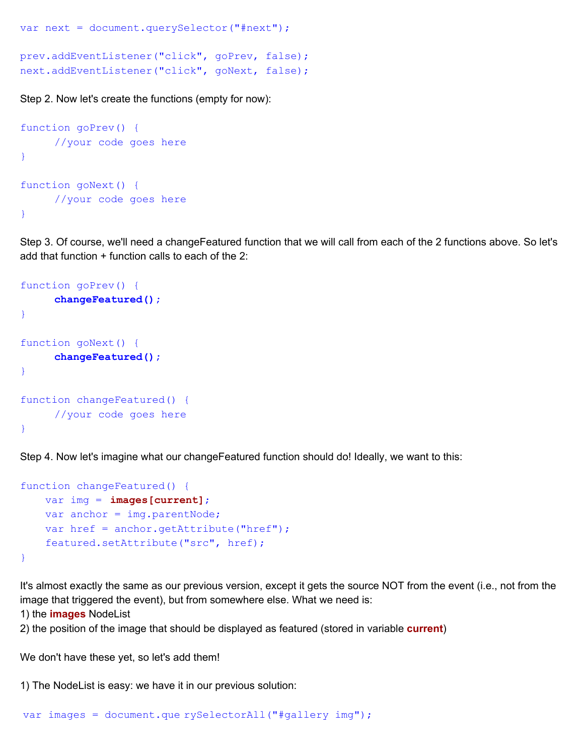```
var next = document.querySelector("#next");
prev.addEventListener("click", goPrev, false);
next.addEventListener("click", goNext, false);
```
Step 2. Now let's create the functions (empty for now):

```
function goPrev() {
     //your code goes here
}
function goNext() {
     //your code goes here
}
```
Step 3. Of course, we'll need a changeFeatured function that we will call from each of the 2 functions above. So let's add that function + function calls to each of the 2:

```
function goPrev() {
     changeFeatured();
}
function goNext() {
     changeFeatured();
}
function changeFeatured() {
     //your code goes here
}
```
Step 4. Now let's imagine what our changeFeatured function should do! Ideally, we want to this:

```
function changeFeatured() {
     var img = images[current];
    var anchor = img.parentNode;
    var href = anchor.getAttribute("href");
     featured.setAttribute("src", href);
}
```
It's almost exactly the same as our previous version, except it gets the source NOT from the event (i.e., not from the image that triggered the event), but from somewhere else. What we need is:

1) the **images** NodeList

2) the position of the image that should be displayed as featured (stored in variable **current**)

We don't have these yet, so let's add them!

1) The NodeList is easy: we have it in our previous solution: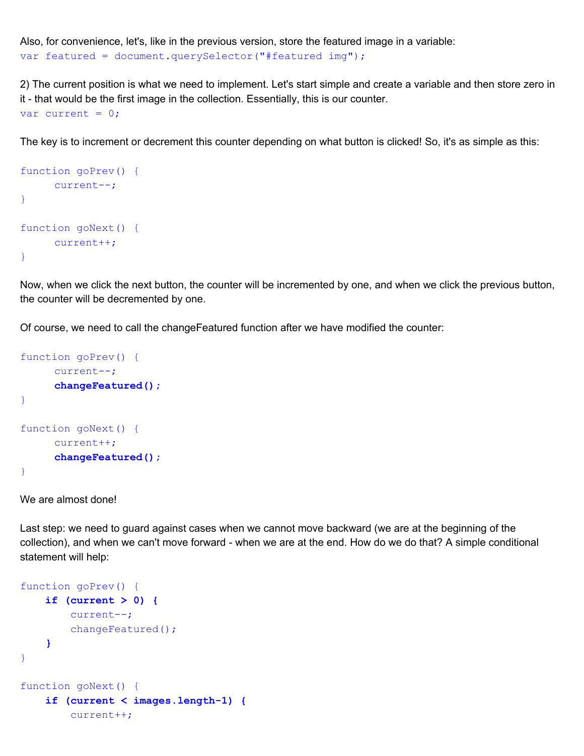Also, for convenience, let's, like in the previous version, store the featured image in a variable: var featured = document.querySelector("#featured img");

2) The current position is what we need to implement. Let's start simple and create a variable and then store zero in it - that would be the first image in the collection. Essentially, this is our counter. var current =  $0$ ;

The key is to increment or decrement this counter depending on what button is clicked! So, it's as simple as this:

```
function goPrev() {
     current--;
}
function goNext() {
    current++;
}
```
Now, when we click the next button, the counter will be incremented by one, and when we click the previous button, the counter will be decremented by one.

Of course, we need to call the changeFeatured function after we have modified the counter:

```
function goPrev() {
     current--;
     changeFeatured();
}
function goNext() {
     current++;
     changeFeatured();
}
```
We are almost done!

Last step: we need to guard against cases when we cannot move backward (we are at the beginning of the collection), and when we can't move forward - when we are at the end. How do we do that? A simple conditional statement will help:

```
function goPrev() {
     if (current > 0) {
        current--;
       changeFeatured();
     }
}
function goNext() {
     if (current < images.length-1) {
        current++;
```